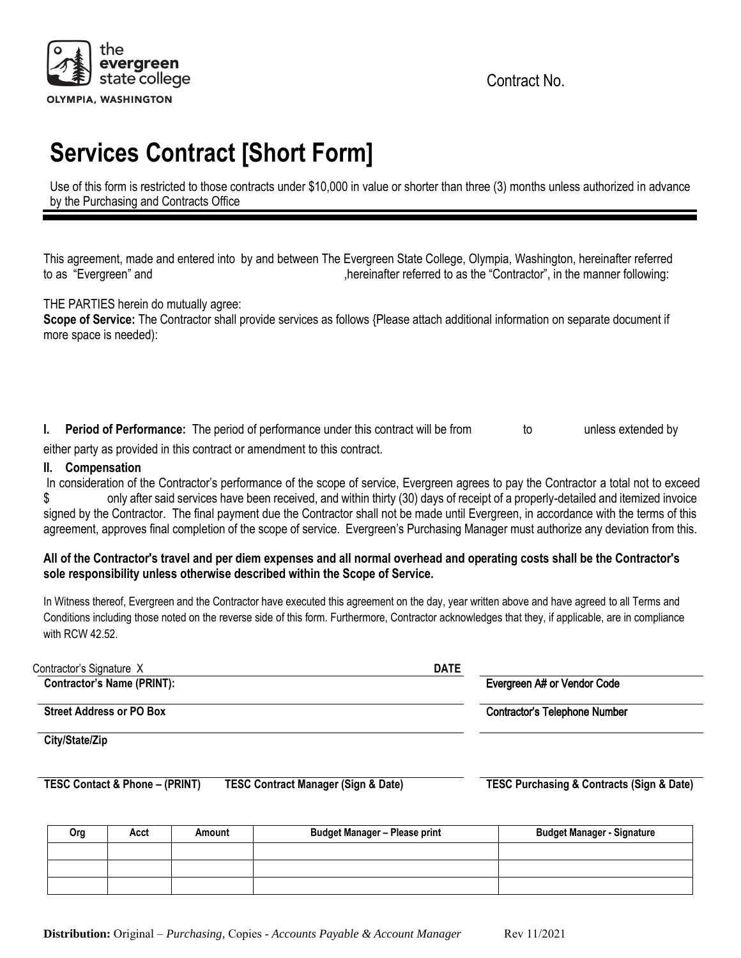

Contract No.

# **Services Contract [Short Form]**

Use of this form is restricted to those contracts under \$10,000 in value or shorter than three (3) months unless authorized in advance by the Purchasing and Contracts Office

This agreement, made and entered into by and between The Evergreen State College, Olympia, Washington, hereinafter referred to as "Evergreen" and  $\blacksquare$ ,hereinafter referred to as the "Contractor", in the manner following:

# THE PARTIES herein do mutually agree:

**Scope of Service:** The Contractor shall provide services as follows {Please attach additional information on separate document if more space is needed):

**I. Period of Performance:** The period of performance under this contract will be from to unless extended by

either party as provided in this contract or amendment to this contract.

# **II. Compensation**

In consideration of the Contractor's performance of the scope of service, Evergreen agrees to pay the Contractor a total not to exceed \$ only after said services have been received, and within thirty (30) days of receipt of a properly-detailed and itemized invoice signed by the Contractor. The final payment due the Contractor shall not be made until Evergreen, in accordance with the terms of this agreement, approves final completion of the scope of service. Evergreen's Purchasing Manager must authorize any deviation from this.

# **All of the Contractor's travel and per diem expenses and all normal overhead and operating costs shall be the Contractor's sole responsibility unless otherwise described within the Scope of Service.**

In Witness thereof, Evergreen and the Contractor have executed this agreement on the day, year written above and have agreed to all Terms and Conditions including those noted on the reverse side of this form. Furthermore, Contractor acknowledges that they, if applicable, are in compliance with RCW 42.52.

| Contractor's Signature X          | <b>DATE</b>                          |  |
|-----------------------------------|--------------------------------------|--|
| <b>Contractor's Name (PRINT):</b> | Evergreen A# or Vendor Code          |  |
| <b>Street Address or PO Box</b>   | <b>Contractor's Telephone Number</b> |  |
| $0:4.104 - 17:$                   |                                      |  |

**City/State/Zip**

**TESC Contact & Phone – (PRINT) TESC Contract Manager (Sign & Date) TESC Purchasing & Contracts (Sign & Date)**

| Org | Acct | Amount | <b>Budget Manager - Please print</b> | <b>Budget Manager - Signature</b> |
|-----|------|--------|--------------------------------------|-----------------------------------|
|     |      |        |                                      |                                   |
|     |      |        |                                      |                                   |
|     |      |        |                                      |                                   |